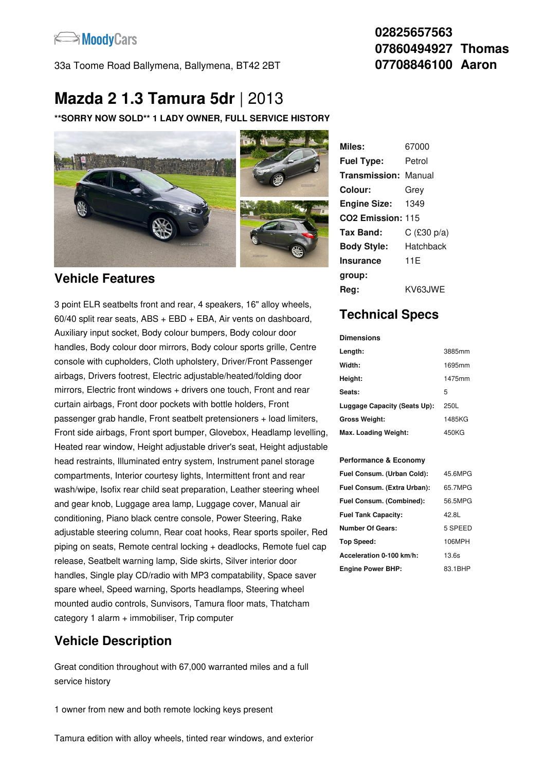

33a Toome Road Ballymena, Ballymena, BT42 2BT

### **02825657563 07860494927 Thomas 07708846100 Aaron**

# **Mazda 2 1.3 Tamura 5dr** |2013

**\*\*SORRY NOW SOLD\*\* 1 LADY OWNER, FULL SERVICE HISTORY**



#### **Vehicle Features**

3 point ELR seatbelts front and rear, 4 speakers, 16" alloy wheels, 60/40 split rear seats, ABS + EBD + EBA, Air vents on dashboard, Auxiliary input socket, Body colour bumpers, Body colour door handles, Body colour door mirrors, Body colour sports grille, Centre console with cupholders, Cloth upholstery, Driver/Front Passenger airbags, Drivers footrest, Electric adjustable/heated/folding door mirrors, Electric front windows + drivers one touch, Front and rear curtain airbags, Front door pockets with bottle holders, Front passenger grab handle, Front seatbelt pretensioners + load limiters, Front side airbags, Front sport bumper, Glovebox, Headlamp levelling, Heated rear window, Height adjustable driver's seat, Height adjustable head restraints, Illuminated entry system, Instrument panel storage compartments, Interior courtesy lights, Intermittent front and rear wash/wipe, Isofix rear child seat preparation, Leather steering wheel and gear knob, Luggage area lamp, Luggage cover, Manual air conditioning, Piano black centre console, Power Steering, Rake adjustable steering column, Rear coat hooks, Rear sports spoiler, Red piping on seats, Remote central locking + deadlocks, Remote fuel cap release, Seatbelt warning lamp, Side skirts, Silver interior door handles, Single play CD/radio with MP3 compatability, Space saver spare wheel, Speed warning, Sports headlamps, Steering wheel mounted audio controls, Sunvisors, Tamura floor mats, Thatcham category 1 alarm + immobiliser, Trip computer

# **Vehicle Description**

Great condition throughout with 67,000 warranted miles and a full service history

1 owner from new and both remote locking keys present

| Miles:                        | 67000         |
|-------------------------------|---------------|
| <b>Fuel Type:</b>             | Petrol        |
| <b>Transmission: Manual</b>   |               |
| Colour:                       | Grev          |
| <b>Engine Size:</b>           | 1349          |
| CO <sub>2</sub> Emission: 115 |               |
| Tax Band:                     | $C$ (£30 p/a) |
| <b>Body Style:</b>            | Hatchback     |
| <b>Insurance</b>              | 11E           |
| group:                        |               |
| Rea:                          | KV63.IWE      |

## **Technical Specs**

**Dimensions**

| Length:                      | 3885mm |
|------------------------------|--------|
| Width:                       | 1695mm |
| Height:                      | 1475mm |
| Seats:                       | 5      |
| Luggage Capacity (Seats Up): | 250L   |
| <b>Gross Weight:</b>         | 1485KG |
| Max. Loading Weight:         | 450KG  |

#### **Performance & Economy**

| Fuel Consum. (Urban Cold):  | 45.6MPG |
|-----------------------------|---------|
| Fuel Consum. (Extra Urban): | 65.7MPG |
| Fuel Consum. (Combined):    | 56.5MPG |
| <b>Fuel Tank Capacity:</b>  | 42.8L   |
| <b>Number Of Gears:</b>     | 5 SPEED |
| <b>Top Speed:</b>           | 106MPH  |
| Acceleration 0-100 km/h:    | 13.6s   |
| <b>Engine Power BHP:</b>    | 83.1BHP |